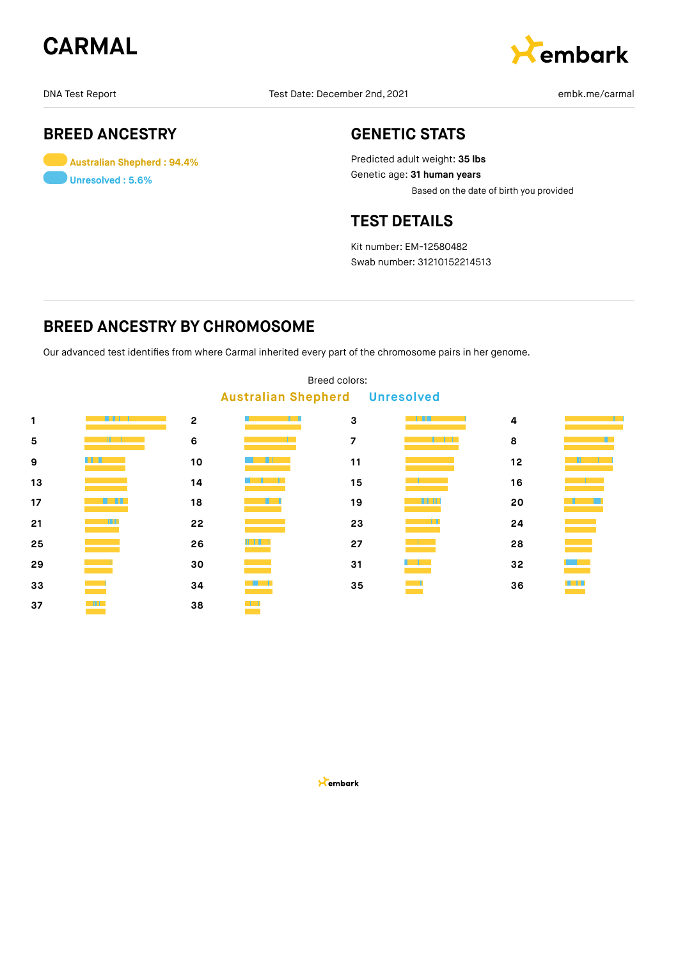



## **BREED ANCESTRY**

**Australian Shepherd : 94.4% Unresolved : 5.6%**

## **GENETIC STATS**

Predicted adult weight: **35 lbs** Genetic age: **31 human years** Based on the date of birth you provided

## **TEST DETAILS**

Kit number: EM-12580482 Swab number: 31210152214513

## **BREED ANCESTRY BY CHROMOSOME**

Our advanced test identifies from where Carmal inherited every part of the chromosome pairs in her genome.

| -                                     |             |                |        |                |   |    |              |  |  |  |  |
|---------------------------------------|-------------|----------------|--------|----------------|---|----|--------------|--|--|--|--|
| <b>Australian Shepherd Unresolved</b> |             |                |        |                |   |    |              |  |  |  |  |
| 1                                     | Alian Maria | $\overline{c}$ |        | 3              | . | 4  |              |  |  |  |  |
| 5                                     |             | 6              |        | $\overline{z}$ |   | 8  |              |  |  |  |  |
| 9                                     |             | 10             |        | 11             |   | 12 |              |  |  |  |  |
| 13                                    |             | 14             |        | 15             |   | 16 |              |  |  |  |  |
| 17                                    |             | 18             | HH.    | 19             |   | 20 |              |  |  |  |  |
| 21                                    |             | 22             |        | 23             |   | 24 |              |  |  |  |  |
| 25                                    |             | 26             |        | 27             |   | 28 |              |  |  |  |  |
| 29                                    |             | 30             |        | 31             |   | 32 |              |  |  |  |  |
| 33                                    |             | 34             |        | 35             |   | 36 | <u> Titl</u> |  |  |  |  |
| 37                                    | a Mili      | 38             | $\Box$ |                |   |    |              |  |  |  |  |

## Breed colors: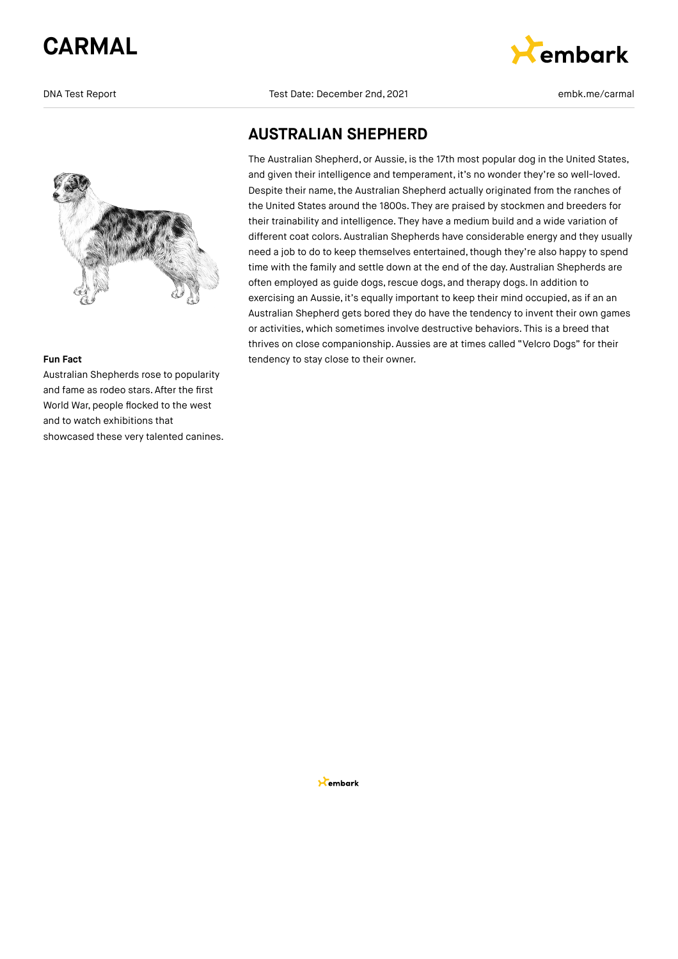

#### **Fun Fact**

Australian Shepherds rose to popularity and fame as rodeo stars. After the first World War, people flocked to the west and to watch exhibitions that showcased these very talented canines.

DNA Test Report Test Date: December 2nd, 2021 embk.me/carmal



## **AUSTRALIAN SHEPHERD**

The Australian Shepherd, or Aussie, is the 17th most popular dog in the United States, and given their intelligence and temperament, it's no wonder they're so well-loved. Despite their name, the Australian Shepherd actually originated from the ranches of the United States around the 1800s. They are praised by stockmen and breeders for their trainability and intelligence. They have a medium build and a wide variation of different coat colors. Australian Shepherds have considerable energy and they usually need a job to do to keep themselves entertained, though they're also happy to spend time with the family and settle down at the end of the day. Australian Shepherds are often employed as guide dogs, rescue dogs, and therapy dogs. In addition to exercising an Aussie, it's equally important to keep their mind occupied, as if an an Australian Shepherd gets bored they do have the tendency to invent their own games or activities, which sometimes involve destructive behaviors. This is a breed that thrives on close companionship. Aussies are at times called "Velcro Dogs" for their tendency to stay close to their owner.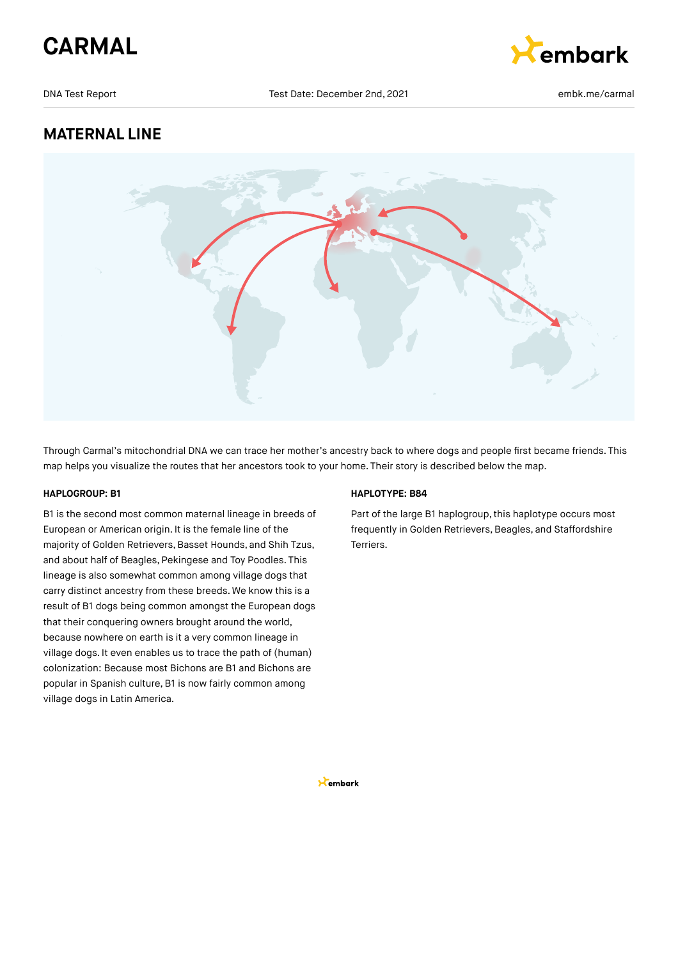



## **MATERNAL LINE**



Through Carmal's mitochondrial DNA we can trace her mother's ancestry back to where dogs and people first became friends. This map helps you visualize the routes that her ancestors took to your home. Their story is described below the map.

### **HAPLOGROUP: B1**

B1 is the second most common maternal lineage in breeds of European or American origin. It is the female line of the majority of Golden Retrievers, Basset Hounds, and Shih Tzus, and about half of Beagles, Pekingese and Toy Poodles. This lineage is also somewhat common among village dogs that carry distinct ancestry from these breeds. We know this is a result of B1 dogs being common amongst the European dogs that their conquering owners brought around the world, because nowhere on earth is it a very common lineage in village dogs. It even enables us to trace the path of (human) colonization: Because most Bichons are B1 and Bichons are popular in Spanish culture, B1 is now fairly common among village dogs in Latin America.

#### **HAPLOTYPE: B84**

Part of the large B1 haplogroup, this haplotype occurs most frequently in Golden Retrievers, Beagles, and Staffordshire Terriers.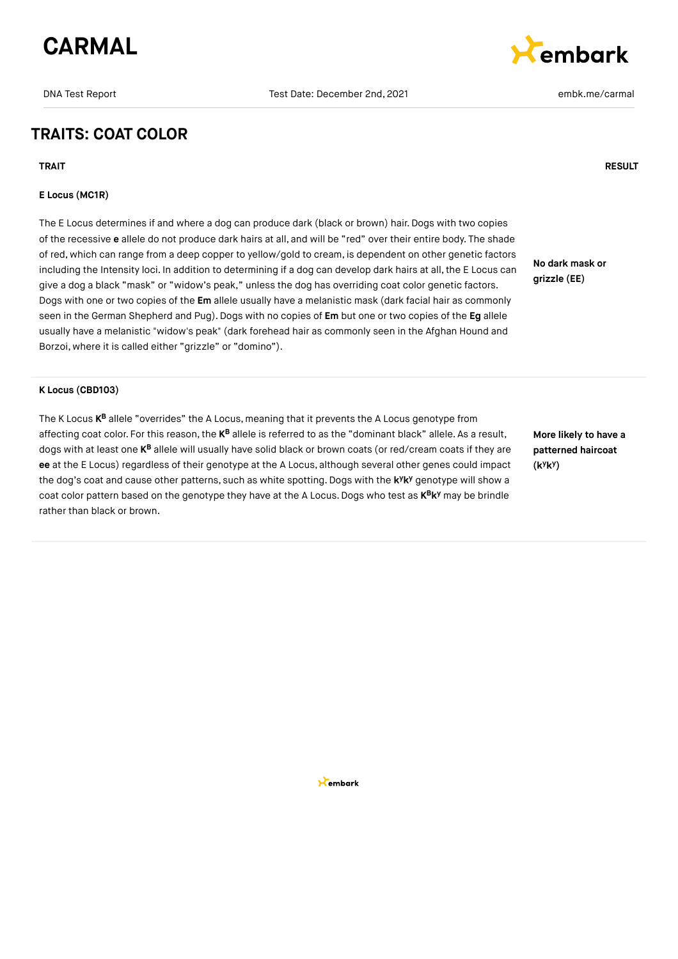## **TRAITS: COAT COLOR**

### **E Locus (MC1R)**

The E Locus determines if and where a dog can produce dark (black or brown) hair. Dogs with two copies of the recessive **e** allele do not produce dark hairs at all, and will be "red" over their entire body. The shade of red, which can range from a deep copper to yellow/gold to cream, is dependent on other genetic factors including the Intensity loci. In addition to determining if a dog can develop dark hairs at all, the E Locus can give a dog a black "mask" or "widow's peak," unless the dog has overriding coat color genetic factors. Dogs with one or two copies of the **Em** allele usually have a melanistic mask (dark facial hair as commonly seen in the German Shepherd and Pug).Dogs with no copies of **Em** but one or two copies of the **Eg** allele usually have a melanistic "widow's peak" (dark forehead hair as commonly seen in the Afghan Hound and Borzoi, where it is called either "grizzle" or "domino").

### **K Locus (CBD103)**

The K Locus **K<sup>B</sup> allele "**overrides" the A Locus, meaning that it prevents the A Locus genotype from affecting coat color. For this reason, the **K<sup>B</sup>** allele is referred to as the "dominant black" allele. As a result, dogs with at least one **K<sup>B</sup>** allele will usually have solid black or brown coats (or red/cream coats if they are **ee** at the E Locus) regardless of their genotype at the A Locus, although several other genes could impact the dog's coat and cause other patterns, such as white spotting. Dogs with the k<sup>y</sup>k<sup>y</sup> genotype will show a coat color pattern based on the genotype they have at the A Locus. Dogs who test as  $\mathsf{K}^\mathsf{B} \mathsf{K}^\mathsf{y}$  may be brindle rather than black or brown.

**More likely to have a patterned haircoat (k k ) y y**

**No dark mask or grizzle (EE)**



### **TRAIT RESULT**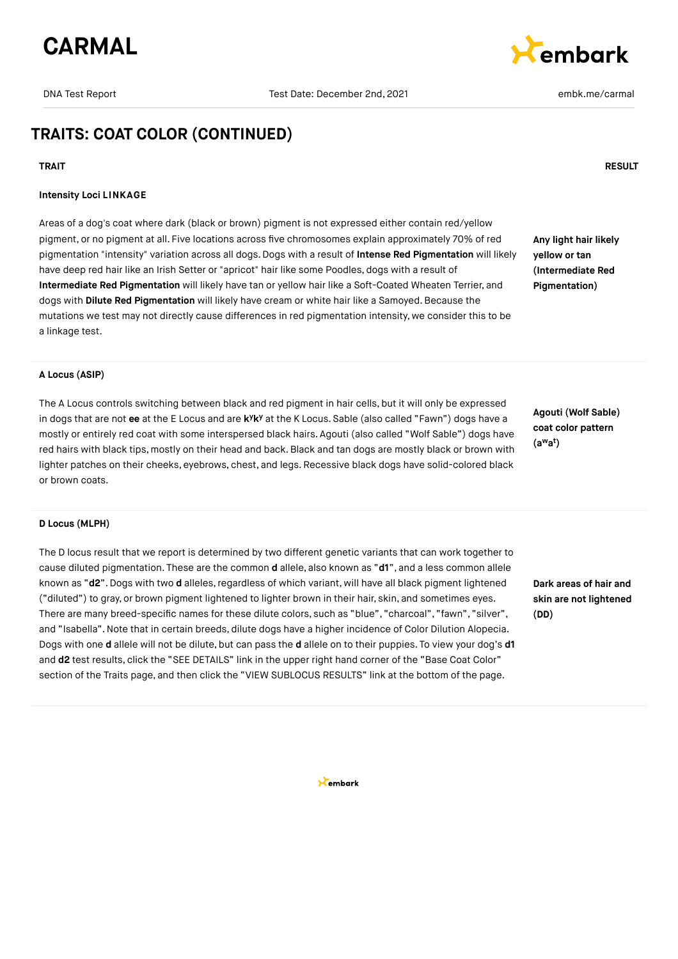

# **E**embark

## **TRAITS: COAT COLOR (CONTINUED)**

#### **TRAIT RESULT**

#### **Intensity Loci LINKAGE**

Areas of a dog's coat where dark (black or brown) pigment is not expressed either contain red/yellow pigment, or no pigment at all. Five locations across five chromosomes explain approximately 70% of red pigmentation "intensity" variation across all dogs. Dogs with a result of **Intense Red Pigmentation** will likely have deep red hair like an Irish Setter or "apricot" hair like some Poodles, dogs with a result of **Intermediate Red Pigmentation** will likely have tan or yellow hair like a Soft-Coated Wheaten Terrier, and dogs with **Dilute Red Pigmentation** will likely have cream or white hair like a Samoyed. Because the mutations we test may not directly cause differences in red pigmentation intensity, we consider this to be a linkage test.

**Any light hair likely yellow or tan (Intermediate Red Pigmentation)**

#### **A Locus (ASIP)**

The A Locus controls switching between black and red pigment in hair cells, but it will only be expressed in dogs that are not ee at the E Locus and are kYk<sup>y</sup> at the K Locus. Sable (also called "Fawn") dogs have a mostly or entirely red coat with some interspersed black hairs. Agouti (also called "Wolf Sable") dogs have red hairs with black tips, mostly on their head and back. Black and tan dogs are mostly black or brown with lighter patches on their cheeks, eyebrows, chest, and legs. Recessive black dogs have solid-colored black or brown coats.

**Agouti (Wolf Sable) coat color pattern (a a ) w t**

#### **D Locus (MLPH)**

The D locus result that we report is determined by two different genetic variants that can work together to cause diluted pigmentation. These are the common **d** allele, also known as "**d1**", and a less common allele known as "d2". Dogs with two d alleles, regardless of which variant, will have all black pigment lightened ("diluted") to gray, or brown pigment lightened to lighter brown in their hair, skin, and sometimes eyes. There are many breed-specific names for these dilute colors, such as "blue", "charcoal", "fawn", "silver", and "Isabella".Note that in certain breeds, dilute dogs have a higher incidence of Color Dilution Alopecia. Dogs with one **d** allele will not be dilute, but can pass the **d** allele on to their puppies. To view your dog's **d1** and **d2** test results, click the "SEE DETAILS" link in the upper right hand corner of the "Base Coat Color" section of the Traits page, and then click the "VIEW SUBLOCUS RESULTS" link at the bottom of the page.

**Dark areas of hair and skin are not lightened (DD)**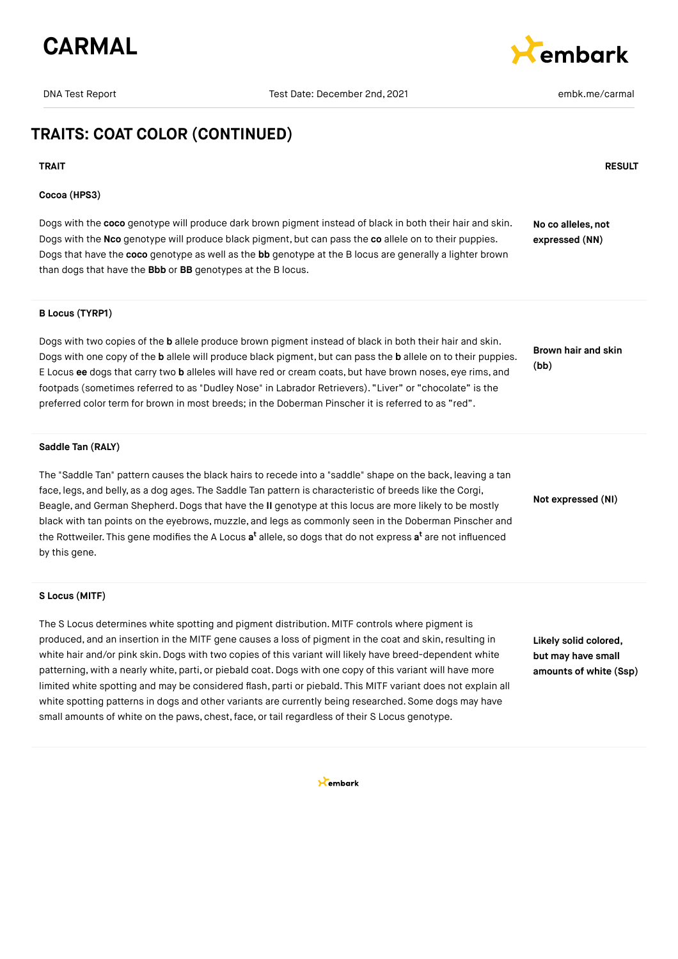

# **Cembark**

## **TRAITS: COAT COLOR (CONTINUED)**

#### **Cocoa (HPS3)**

Dogs with the **coco** genotype will produce dark brown pigment instead of black in both their hair and skin. Dogs with the **Nco** genotype will produce black pigment, but can pass the **co** allele on to their puppies. Dogs that have the **coco** genotype as well as the **bb** genotype at the B locus are generally a lighter brown than dogs that have the **Bbb** or **BB** genotypes at the B locus.

#### **B Locus (TYRP1)**

Dogs with two copies of the **b** allele produce brown pigment instead of black in both their hair and skin. Dogs with one copy of the **b** allele will produce black pigment, but can pass the **b** allele on to their puppies. E Locus **ee** dogs that carry two **b** alleles will have red or cream coats, but have brown noses, eye rims, and footpads (sometimes referred to as "Dudley Nose" in Labrador Retrievers). "Liver" or "chocolate" is the preferred color term for brown in most breeds; in the Doberman Pinscher it is referred to as "red".

#### **Saddle Tan (RALY)**

The "Saddle Tan" pattern causes the black hairs to recede into a "saddle" shape on the back, leaving a tan face, legs, and belly, as a dog ages. The Saddle Tan pattern is characteristic of breeds like the Corgi, Beagle, and German Shepherd.Dogs that have the **II** genotype at this locus are more likely to be mostly black with tan points on the eyebrows, muzzle, and legs as commonly seen in the Doberman Pinscher and the Rottweiler. This gene modifies the A Locus **a<sup>t</sup>** allele, so dogs that do not express **a<sup>t</sup>** are not influenced by this gene. **Not expressed (NI)**

#### **S Locus (MITF)**

The S Locus determines white spotting and pigment distribution. MITF controls where pigment is produced, and an insertion in the MITF gene causes a loss of pigment in the coat and skin, resulting in white hair and/or pink skin. Dogs with two copies of this variant will likely have breed-dependent white patterning, with a nearly white, parti, or piebald coat.Dogs with one copy of this variant will have more limited white spotting and may be considered flash, parti or piebald. This MITF variant does not explain all white spotting patterns in dogs and other variants are currently being researched. Some dogs may have small amounts of white on the paws, chest,face, or tail regardless of their S Locus genotype.

**Likely solid colored, but may have small amounts of white (Ssp)**

Kembark

### **TRAIT RESULT**

**No co alleles, not expressed (NN)**

**Brown hair and skin (bb)**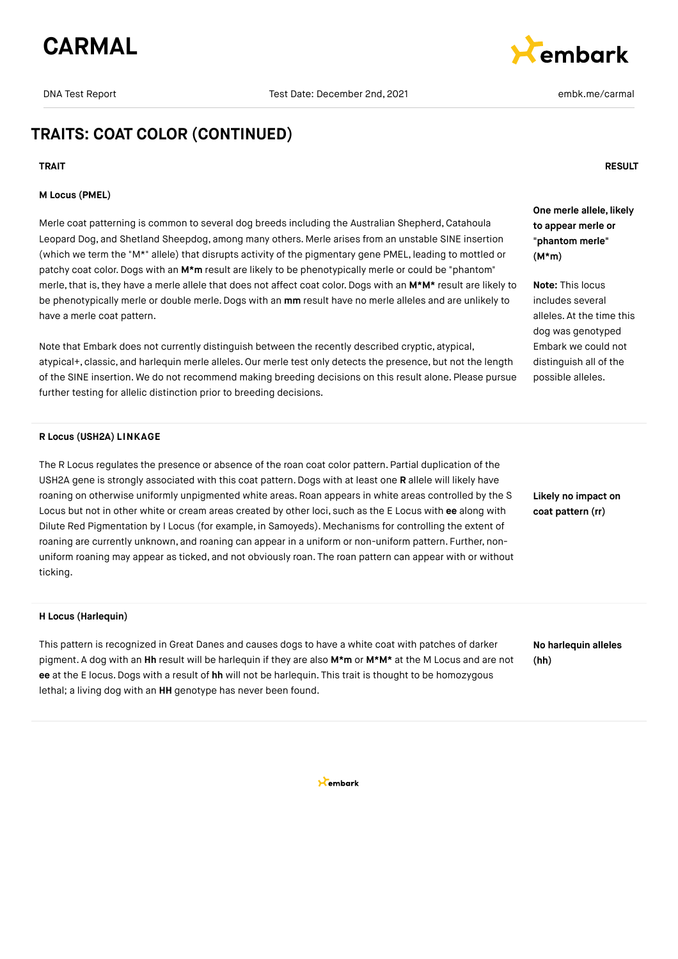

# **Embark**

## **TRAITS: COAT COLOR (CONTINUED)**

#### **M Locus (PMEL)**

Merle coat patterning is common to several dog breeds including the Australian Shepherd, Catahoula Leopard Dog, and Shetland Sheepdog, among many others. Merle arises from an unstable SINE insertion (which we term the "M\*" allele) that disrupts activity of the pigmentary gene PMEL, leading to mottled or patchy coat color.Dogs with an **M\*m** result are likely to be phenotypically merle or could be "phantom" merle, that is, they have a merle allele that does not affect coat color. Dogs with an M\*M\* result are likely to be phenotypically merle or double merle.Dogs with an **mm** result have no merle alleles and are unlikely to have a merle coat pattern.

Note that Embark does not currently distinguish between the recently described cryptic, atypical, atypical+, classic, and harlequin merle alleles. Our merle test only detects the presence, but not the length of the SINE insertion. We do not recommend making breeding decisions on this result alone. Please pursue further testing for allelic distinction prior to breeding decisions.

#### **R Locus (USH2A) LINKAGE**

The R Locus regulates the presence or absence of the roan coat color pattern. Partial duplication of the USH2A gene is strongly associated with this coat pattern. Dogs with at least one **R** allele will likely have roaning on otherwise uniformly unpigmented white areas. Roan appears in white areas controlled by the S Locus but not in other white or cream areas created by other loci, such as the E Locus with **ee** along with Dilute Red Pigmentation by I Locus (for example, in Samoyeds). Mechanisms for controlling the extent of roaning are currently unknown, and roaning can appear in a uniform or non-uniform pattern. Further, nonuniform roaning may appear as ticked, and not obviously roan. The roan pattern can appear with or without ticking.

#### **H Locus (Harlequin)**

This pattern is recognized in Great Danes and causes dogs to have a white coat with patches of darker pigment. A dog with an **Hh** result will be harlequin if they are also **M\*m** or **M\*M\*** at the M Locus and are not **ee** at the E locus.Dogs with a result of **hh** will not be harlequin. This trait is thought to be homozygous lethal; a living dog with an **HH** genotype has never been found.

**No harlequin alleles (hh)**

**Likely no impact on coat pattern (rr)**

**TRAIT RESULT**

**One merle allele, likely to appear merle or "phantom merle" (M\*m)**

**Note:** This locus includes several alleles. At the time this dog was genotyped Embark we could not distinguish all of the possible alleles.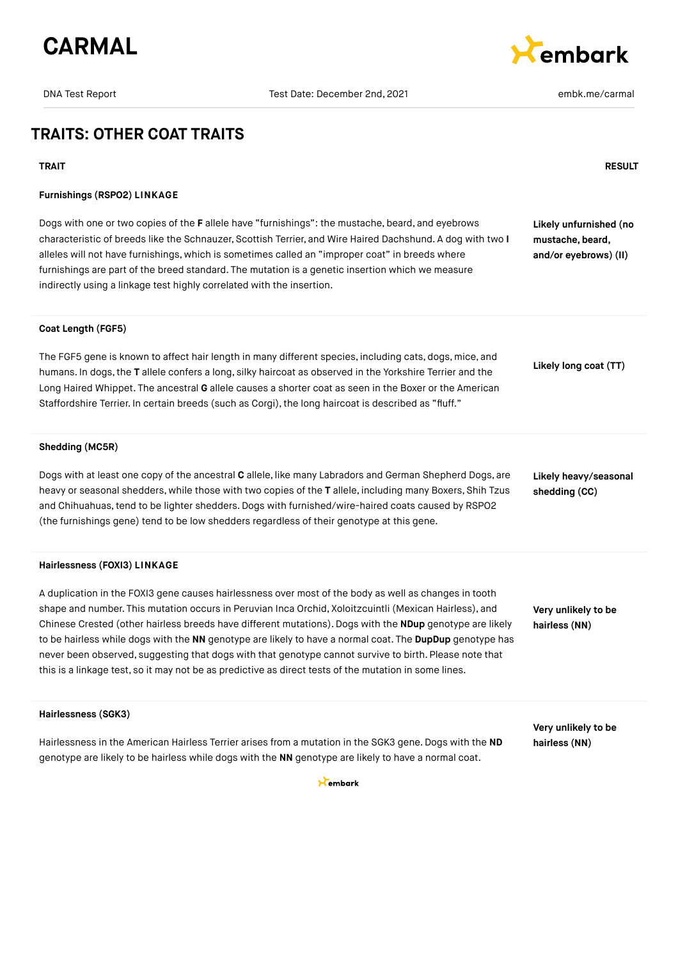

# **Cembark**

**Likely unfurnished (no mustache, beard, and/or eyebrows) (II)**

**Likely long coat (TT)**

## **TRAITS: OTHER COAT TRAITS**

#### **TRAIT RESULT**

#### **Furnishings (RSPO2) LINKAGE**

Dogs with one or two copies of the **F** allele have "furnishings": the mustache, beard, and eyebrows characteristic of breeds like the Schnauzer, Scottish Terrier, and Wire Haired Dachshund. A dog with two **I** alleles will not have furnishings, which is sometimes called an "improper coat" in breeds where furnishings are part of the breed standard. The mutation is a genetic insertion which we measure indirectly using a linkage test highly correlated with the insertion.

#### **Coat Length (FGF5)**

The FGF5 gene is known to affect hair length in many different species, including cats, dogs, mice, and humans. In dogs,the **T** allele confers a long, silky haircoat as observed in the Yorkshire Terrier and the Long Haired Whippet. The ancestral **G** allele causes a shorter coat as seen in the Boxer or the American Staffordshire Terrier. In certain breeds (such as Corgi), the long haircoat is described as "fluff."

#### **Shedding (MC5R)**

Dogs with at least one copy of the ancestral **C** allele, like many Labradors and German Shepherd Dogs, are heavy or seasonal shedders, while those with two copies of the **T** allele, including many Boxers, Shih Tzus and Chihuahuas, tend to be lighter shedders. Dogs with furnished/wire-haired coats caused by RSPO2 (the furnishings gene) tend to be low shedders regardless of their genotype at this gene. **Likely heavy/seasonal shedding (CC)**

#### **Hairlessness (FOXI3) LINKAGE**

**Hairlessness (SGK3)**

A duplication in the FOXI3 gene causes hairlessness over most of the body as well as changes in tooth shape and number. This mutation occurs in Peruvian Inca Orchid, Xoloitzcuintli (Mexican Hairless), and Chinese Crested (other hairless breeds have different mutations). Dogs with the **NDup** genotype are likely to be hairless while dogs with the **NN** genotype are likely to have a normal coat. The **DupDup** genotype has never been observed, suggesting that dogs with that genotype cannot survive to birth. Please note that this is a linkage test, so it may not be as predictive as direct tests of the mutation in some lines.

**Very unlikely to be hairless (NN)**

|                                                                                                         | Very unlikely to be |
|---------------------------------------------------------------------------------------------------------|---------------------|
| Hairlessness in the American Hairless Terrier arises from a mutation in the SGK3 gene. Dogs with the ND | hairless (NN)       |
| genotype are likely to be hairless while dogs with the NN genotype are likely to have a normal coat.    |                     |

 $\star$ embark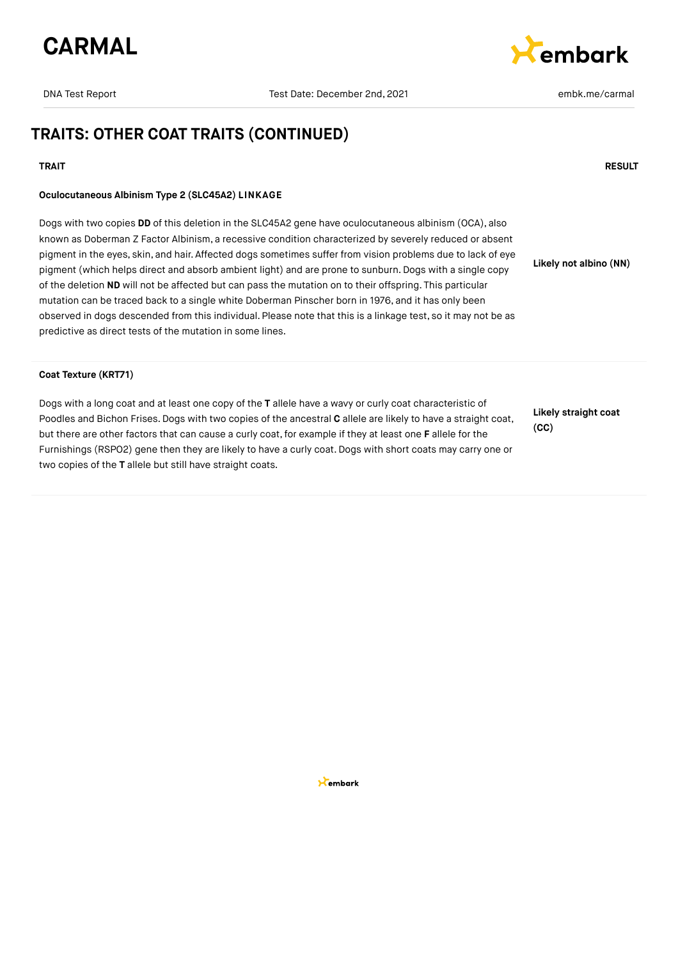



## **TRAITS: OTHER COAT TRAITS (CONTINUED)**

#### **TRAIT RESULT**

#### **Oculocutaneous Albinism Type 2 (SLC45A2) LINKAGE**

Dogs with two copies **DD** of this deletion in the SLC45A2 gene have oculocutaneous albinism (OCA), also known as Doberman Z Factor Albinism, a recessive condition characterized by severely reduced or absent pigment in the eyes, skin, and hair. Affected dogs sometimes suffer from vision problems due to lack of eye pigment (which helps direct and absorb ambient light) and are prone to sunburn. Dogs with a single copy of the deletion **ND** will not be affected but can pass the mutation on to their offspring. This particular mutation can be traced back to a single white Doberman Pinscher born in 1976, and it has only been observed in dogs descended from this individual. Please note that this is a linkage test, so it may not be as predictive as direct tests of the mutation in some lines.

**Likely not albino (NN)**

#### **Coat Texture (KRT71)**

Dogs with a long coat and at least one copy of the **T** allele have a wavy or curly coat characteristic of Poodles and Bichon Frises.Dogs with two copies of the ancestral **C** allele are likely to have a straight coat, but there are other factors that can cause a curly coat, for example if they at least one **F** allele for the Furnishings (RSPO2) gene then they are likely to have a curly coat.Dogs with short coats may carry one or two copies of the **T** allele but still have straight coats.

**Likely straight coat (CC)**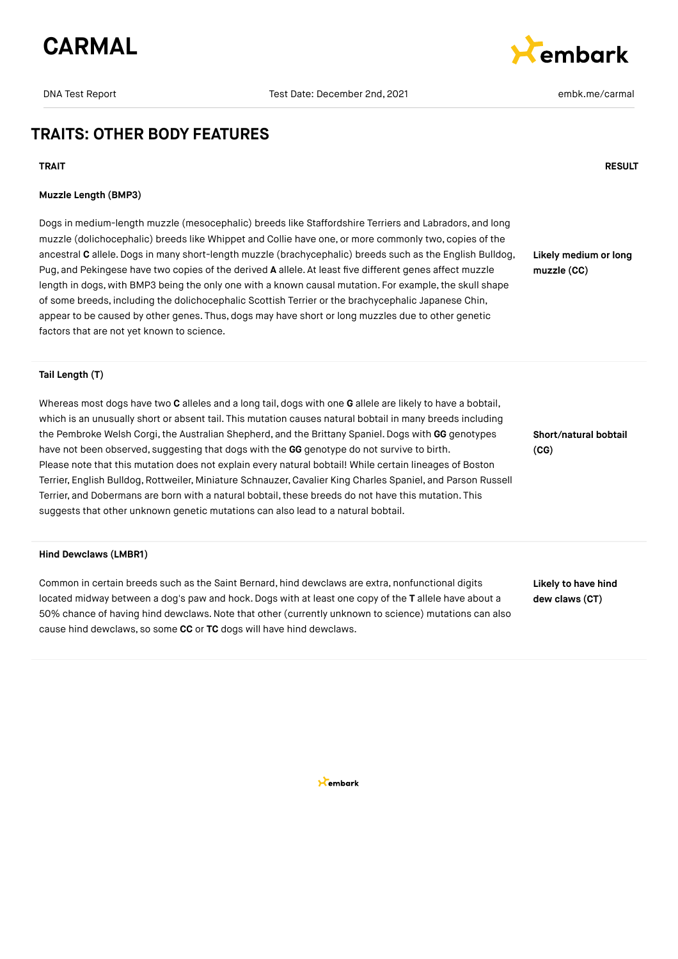



## **TRAITS: OTHER BODY FEATURES**

#### **TRAIT RESULT**

#### **Muzzle Length (BMP3)**

Dogs in medium-length muzzle (mesocephalic) breeds like Staffordshire Terriers and Labradors, and long muzzle (dolichocephalic) breeds like Whippet and Collie have one, or more commonly two, copies of the ancestral **C** allele.Dogs in many short-length muzzle (brachycephalic) breeds such as the English Bulldog, Pug, and Pekingese have two copies of the derived **A** allele. At least five different genes affect muzzle length in dogs, with BMP3 being the only one with a known causal mutation. For example, the skull shape of some breeds, including the dolichocephalic Scottish Terrier or the brachycephalic Japanese Chin, appear to be caused by other genes. Thus, dogs may have short or long muzzles due to other genetic factors that are not yet known to science.

**Likely medium or long muzzle (CC)**

### **Tail Length (T)**

Whereas most dogs have two **C** alleles and a long tail, dogs with one **G** allele are likely to have a bobtail, which is an unusually short or absent tail. This mutation causes natural bobtail in many breeds including the Pembroke Welsh Corgi, the Australian Shepherd, and the Brittany Spaniel. Dogs with GG genotypes have not been observed, suggesting that dogs with the **GG** genotype do not survive to birth. Please note that this mutation does not explain every natural bobtail! While certain lineages of Boston Terrier, English Bulldog, Rottweiler, Miniature Schnauzer, Cavalier King Charles Spaniel, and Parson Russell Terrier, and Dobermans are born with a natural bobtail, these breeds do not have this mutation. This suggests that other unknown genetic mutations can also lead to a natural bobtail.

#### **Hind Dewclaws (LMBR1)**

Common in certain breeds such as the Saint Bernard, hind dewclaws are extra, nonfunctional digits located midway between a dog's paw and hock. Dogs with at least one copy of the **T** allele have about a 50% chance of having hind dewclaws.Note that other (currently unknown to science) mutations can also cause hind dewclaws, so some **CC** or **TC** dogs will have hind dewclaws.

**Short/natural bobtail (CG)**

**Likely to have hind dew claws (CT)**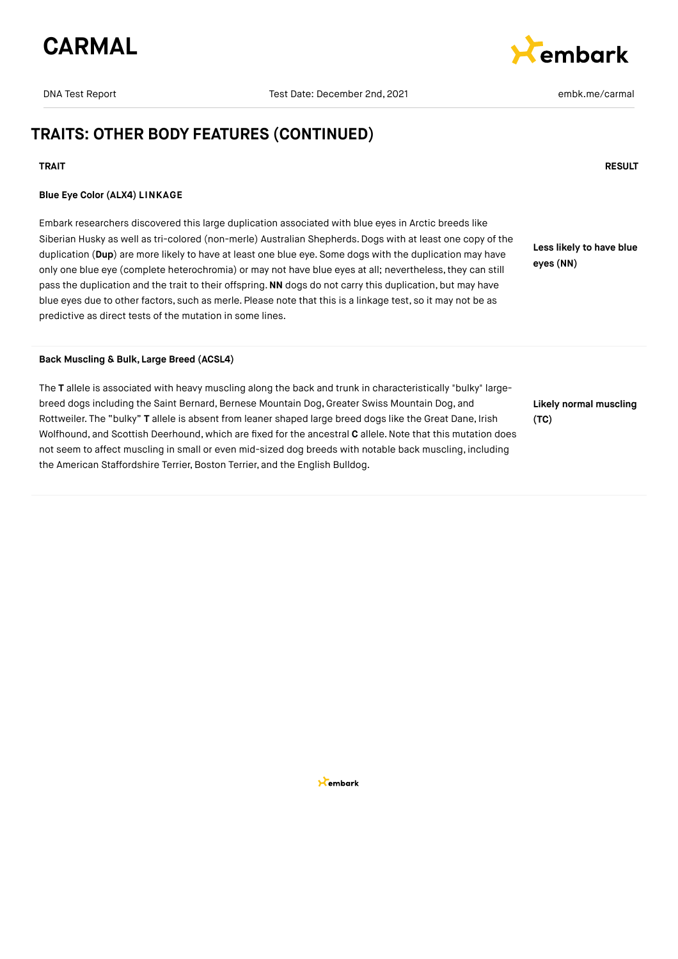

kembark

## **TRAITS: OTHER BODY FEATURES (CONTINUED)**

#### **TRAIT RESULT**

#### **Blue Eye Color (ALX4) LINKAGE**

Embark researchers discovered this large duplication associated with blue eyes in Arctic breeds like Siberian Husky as well as tri-colored (non-merle) Australian Shepherds. Dogs with at least one copy of the duplication (**Dup**) are more likely to have at least one blue eye. Some dogs with the duplication may have only one blue eye (complete heterochromia) or may not have blue eyes at all; nevertheless,they can still pass the duplication and the trait to their offspring.**NN** dogs do not carry this duplication, but may have blue eyes due to other factors, such as merle. Please note that this is a linkage test, so it may not be as predictive as direct tests of the mutation in some lines.

**Less likely to have blue eyes (NN)**

**Back Muscling & Bulk, Large Breed (ACSL4)**

The **T** allele is associated with heavy muscling along the back and trunk in characteristically "bulky" largebreed dogs including the Saint Bernard, Bernese Mountain Dog, Greater Swiss Mountain Dog, and Rottweiler. The "bulky" **T** allele is absent from leaner shaped large breed dogs like the Great Dane, Irish Wolfhound, and Scottish Deerhound, which are fixed for the ancestral **C** allele.Note that this mutation does not seem to affect muscling in small or even mid-sized dog breeds with notable back muscling, including the American Staffordshire Terrier, Boston Terrier, and the English Bulldog.

**Likely normal muscling (TC)**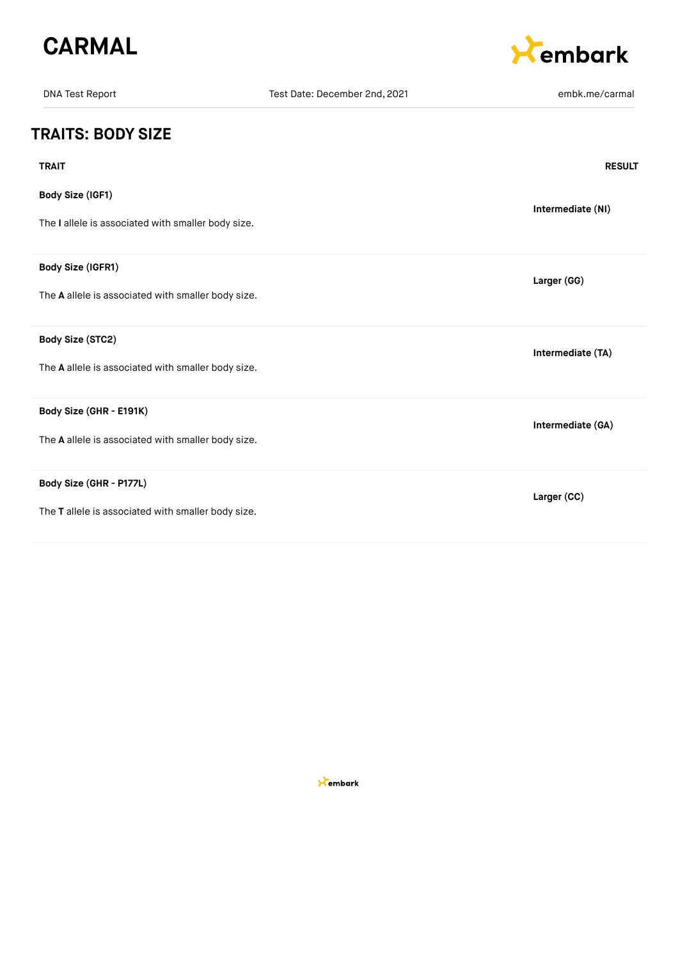



| <b>DNA Test Report</b>                                                        | Test Date: December 2nd, 2021 | embk.me/carmal    |
|-------------------------------------------------------------------------------|-------------------------------|-------------------|
| <b>TRAITS: BODY SIZE</b>                                                      |                               |                   |
| <b>TRAIT</b>                                                                  |                               | <b>RESULT</b>     |
| Body Size (IGF1)<br>The I allele is associated with smaller body size.        |                               | Intermediate (NI) |
| Body Size (IGFR1)<br>The A allele is associated with smaller body size.       |                               | Larger (GG)       |
| Body Size (STC2)<br>The A allele is associated with smaller body size.        |                               | Intermediate (TA) |
| Body Size (GHR - E191K)<br>The A allele is associated with smaller body size. |                               | Intermediate (GA) |
| Body Size (GHR - P177L)<br>The T allele is associated with smaller body size. |                               | Larger (CC)       |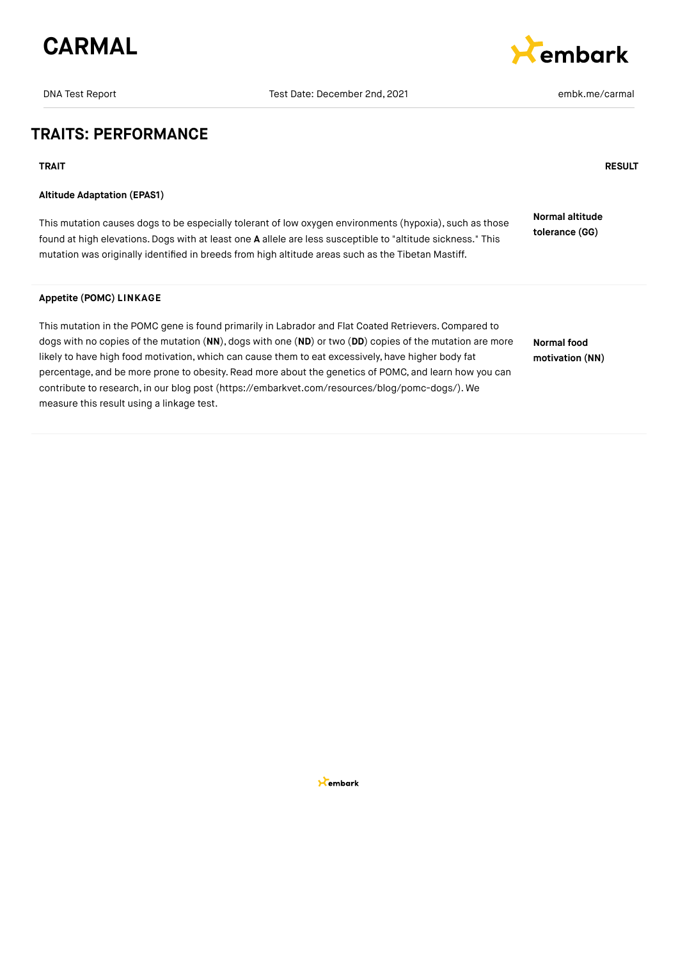

# *<u>Rembark</u>*

## **TRAITS: PERFORMANCE**

**TRAIT RESULT**

### **Altitude Adaptation (EPAS1)**

This mutation causes dogs to be especially tolerant of low oxygen environments (hypoxia), such as those found at high elevations.Dogs with at least one **A** allele are less susceptible to "altitude sickness." This mutation was originally identified in breeds from high altitude areas such as the Tibetan Mastiff. **Normal altitude tolerance (GG)**

#### **Appetite (POMC) LINKAGE**

This mutation in the POMC gene is found primarily in Labrador and Flat Coated Retrievers.Compared to dogs with no copies of the mutation (**NN**), dogs with one (**ND**) or two (**DD**) copies of the mutation are more likely to have high food motivation, which can cause them to eat excessively, have higher body fat percentage, and be more prone to obesity. Read more about the genetics of POMC, and learn how you can contribute to research, in our blog post [\(https://embarkvet.com/resources/blog/pomc-dogs/\)](https://embarkvet.com/resources/blog/pomc-dogs/). We measure this result using a linkage test.

**Normal food motivation (NN)**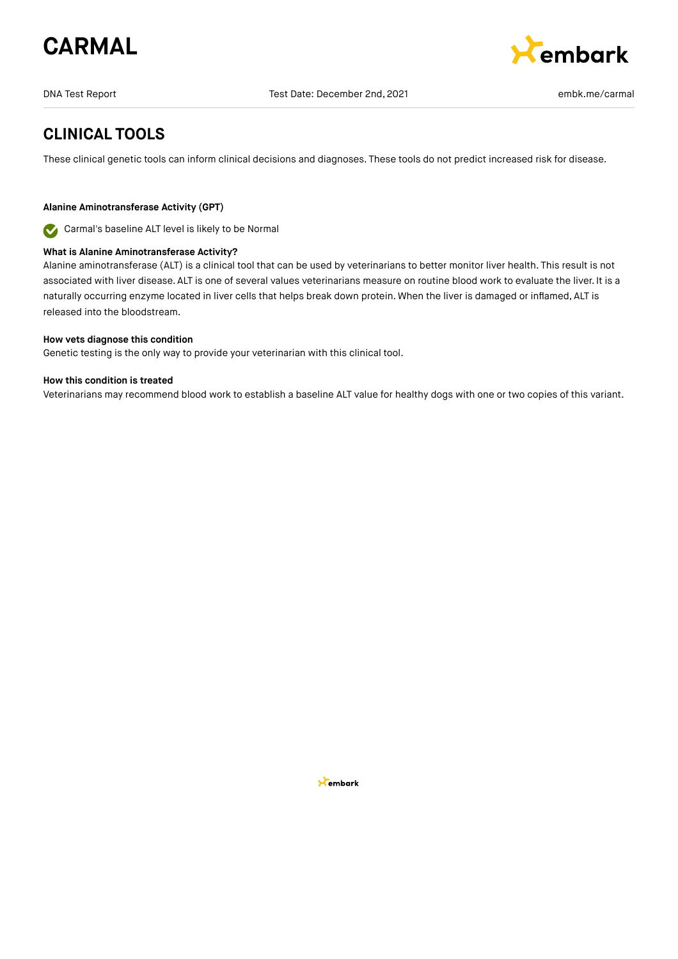



## **CLINICAL TOOLS**

These clinical genetic tools can inform clinical decisions and diagnoses. These tools do not predict increased risk for disease.

### **Alanine Aminotransferase Activity (GPT)**

Carmal's baseline ALT level is likely to be Normal

#### **What is Alanine Aminotransferase Activity?**

Alanine aminotransferase (ALT) is a clinical tool that can be used by veterinarians to better monitor liver health. This result is not associated with liver disease. ALT is one of several values veterinarians measure on routine blood work to evaluate the liver. It is a naturally occurring enzyme located in liver cells that helps break down protein. When the liver is damaged or inflamed, ALT is released into the bloodstream.

#### **How vets diagnose this condition**

Genetic testing is the only way to provide your veterinarian with this clinical tool.

#### **How this condition is treated**

Veterinarians may recommend blood work to establish a baseline ALT value for healthy dogs with one or two copies of this variant.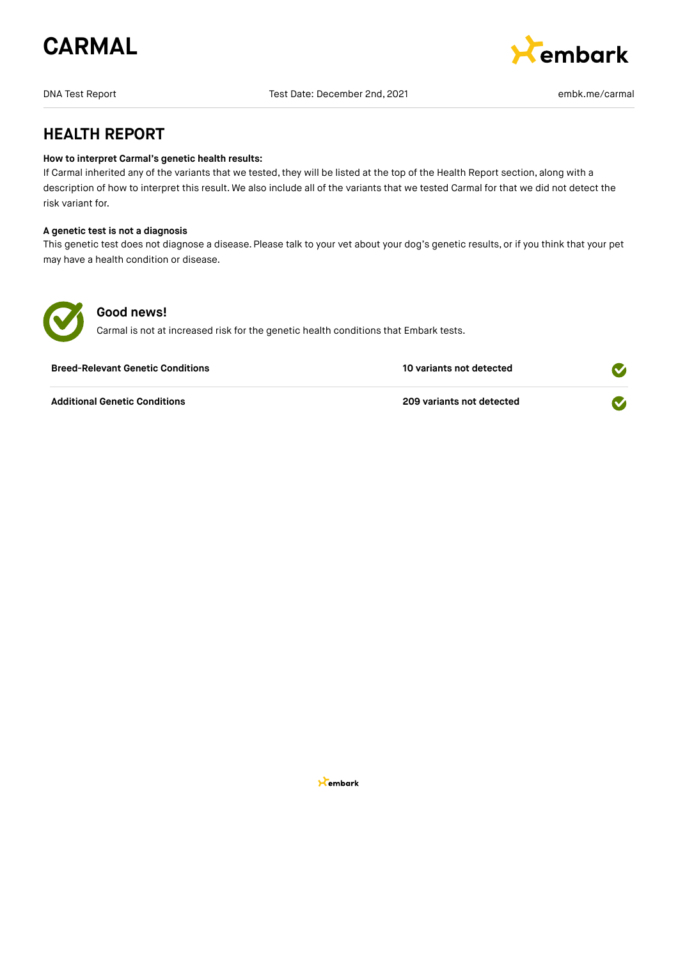



## **HEALTH REPORT**

#### **How to interpret Carmal's genetic health results:**

If Carmal inherited any of the variants that we tested, they will be listed at the top of the Health Report section, along with a description of how to interpret this result. We also include all of the variants that we tested Carmal for that we did not detect the risk variant for.

### **A genetic test is not a diagnosis**

This genetic test does not diagnose a disease. Please talk to your vet about your dog's genetic results, or if you think that your pet may have a health condition or disease.



### **Good news!**

Carmal is not at increased risk for the genetic health conditions that Embark tests.

| <b>Breed-Relevant Genetic Conditions</b> | 10 variants not detected  |  |
|------------------------------------------|---------------------------|--|
| <b>Additional Genetic Conditions</b>     | 209 variants not detected |  |

**X**embark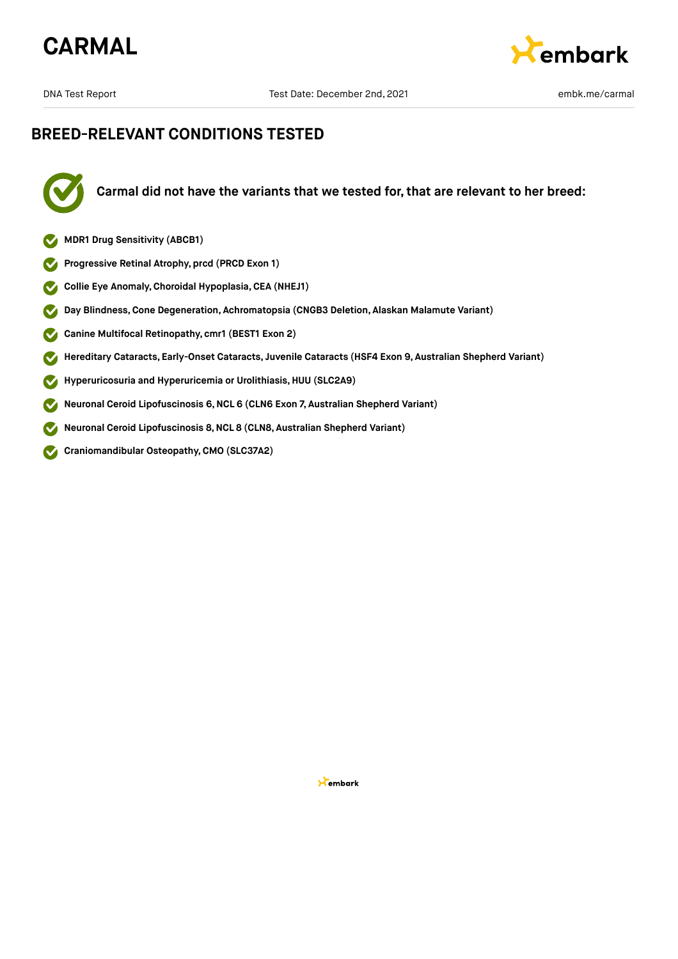



## **BREED-RELEVANT CONDITIONS TESTED**



**Carmal did not have the variants that we tested for, that are relevant to her breed:**

- **MDR1 Drug Sensitivity (ABCB1)**
- **Progressive Retinal Atrophy, prcd (PRCD Exon 1)**  $\bullet$
- $\bullet$ **Collie Eye Anomaly,Choroidal Hypoplasia,CEA (NHEJ1)**
- **Day Blindness,Cone Degeneration, Achromatopsia (CNGB3 Deletion, Alaskan Malamute Variant)**  $\bullet$
- **Canine Multifocal Retinopathy, cmr1 (BEST1 Exon 2)**  $\sim$
- **Hereditary Cataracts, Early-Onset Cataracts, Juvenile Cataracts (HSF4 Exon 9, Australian Shepherd Variant)**  $\blacktriangledown$
- **Hyperuricosuria and Hyperuricemia or Urolithiasis, HUU (SLC2A9)**  $\bullet$
- **Neuronal Ceroid Lipofuscinosis 6,NCL 6 (CLN6 Exon 7, Australian Shepherd Variant)**  $\bullet$
- **Neuronal Ceroid Lipofuscinosis 8,NCL 8 (CLN8, Australian Shepherd Variant)**  $\boldsymbol{\mathcal{S}}$
- **Craniomandibular Osteopathy,CMO (SLC37A2)**  $\mathbf{\Omega}$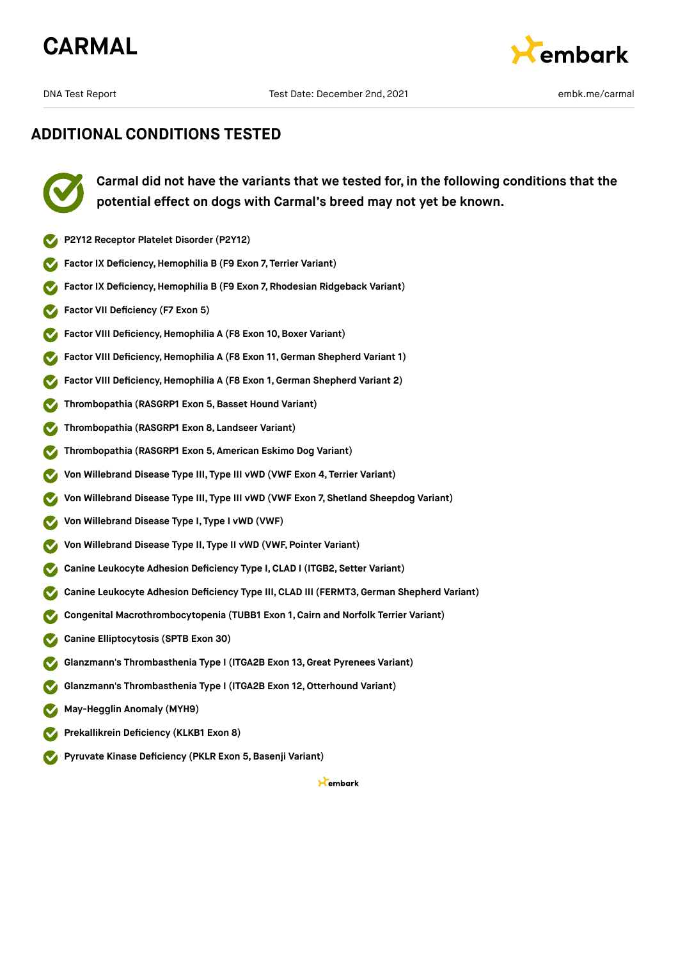





**Carmal did not have the variants that we tested for, in the following conditions that the potential effect on dogs with Carmal's breed may not yet be known.**

- **P2Y12 Receptor Platelet Disorder (P2Y12)**
- **Factor IX Deficiency,Hemophilia B (F9 Exon 7, Terrier Variant)**
- **Factor IX Deficiency,Hemophilia B (F9 Exon 7, Rhodesian Ridgeback Variant)**
- **Factor VII Deficiency (F7 Exon 5)**
- **Factor VIII Deficiency, Hemophilia A (F8 Exon 10, Boxer Variant)**
- **Factor VIII Deficiency, Hemophilia A (F8 Exon 11, German Shepherd Variant 1)**
- **Factor VIII Deficiency,Hemophilia A (F8 Exon 1, German Shepherd Variant 2)**
- **Thrombopathia (RASGRP1 Exon 5,Basset Hound Variant)**
- **Thrombopathia (RASGRP1 Exon 8, Landseer Variant)**
- **Thrombopathia (RASGRP1 Exon 5, American Eskimo Dog Variant)**
- **Von Willebrand Disease Type III, Type III vWD (VWF Exon 4, Terrier Variant)**
- **Von Willebrand Disease Type III, Type III vWD (VWF Exon 7, Shetland Sheepdog Variant)**
- **Von Willebrand Disease Type I, Type I vWD (VWF)**
- **Von Willebrand Disease Type II, Type II vWD (VWF, Pointer Variant)**
- **Canine Leukocyte Adhesion Deficiency Type I,CLAD I (ITGB2, Setter Variant)**
- **Canine Leukocyte Adhesion Deficiency Type III, CLAD III (FERMT3,German Shepherd Variant)**
- **Congenital Macrothrombocytopenia (TUBB1 Exon 1, Cairn and Norfolk Terrier Variant)**
- **Canine Elliptocytosis (SPTB Exon 30)**  $\sim$
- **Glanzmann's Thrombasthenia Type I (ITGA2B Exon 13,Great Pyrenees Variant)**
- **Glanzmann's Thrombasthenia Type I (ITGA2B Exon 12,Otterhound Variant)**
- **May-Hegglin Anomaly (MYH9)**
- **Prekallikrein Deficiency (KLKB1 Exon 8)**
- **Pyruvate Kinase Deficiency (PKLR Exon 5,Basenji Variant)**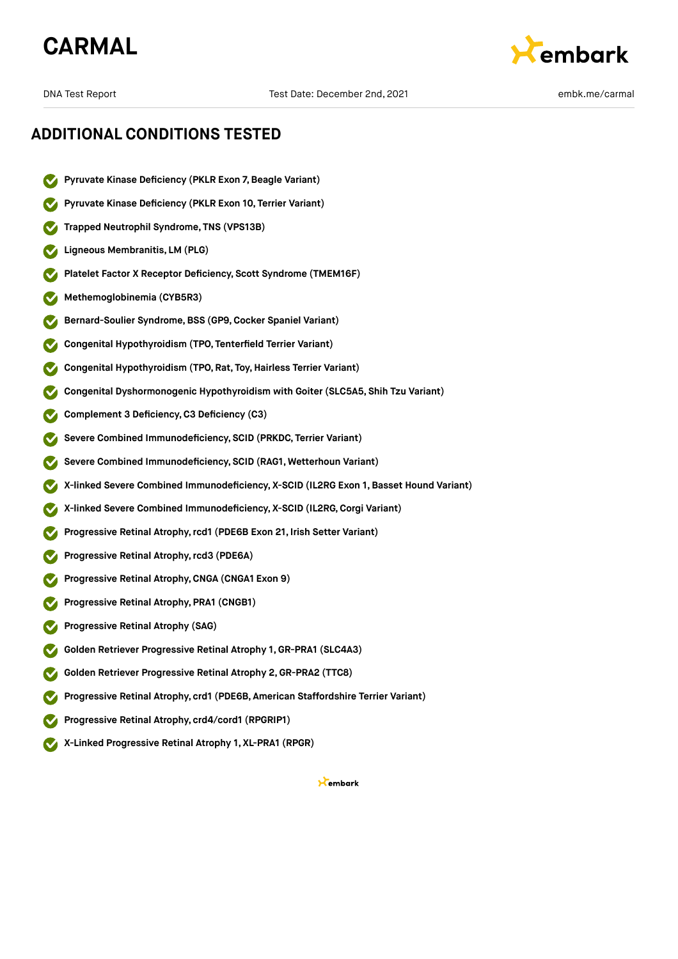## **CARMAL**



## **ADDITIONAL CONDITIONS TESTED**

- **Pyruvate Kinase Deficiency (PKLR Exon 7,Beagle Variant)**
- **Pyruvate Kinase Deficiency (PKLR Exon 10, Terrier Variant)**
- **Trapped Neutrophil Syndrome, TNS (VPS13B)**
- **Ligneous Membranitis, LM (PLG)**
- **Platelet Factor X Receptor Deficiency, Scott Syndrome (TMEM16F)**
- **Methemoglobinemia (CYB5R3)**
- **Bernard-Soulier Syndrome,BSS (GP9,Cocker Spaniel Variant)**
- **Congenital Hypothyroidism (TPO, Tenterfield Terrier Variant)**
- **Congenital Hypothyroidism (TPO, Rat, Toy,Hairless Terrier Variant)**
- **Congenital Dyshormonogenic Hypothyroidism with Goiter (SLC5A5, Shih Tzu Variant)**
- **Complement 3 Deficiency,C3 Deficiency (C3)**
- **Severe Combined Immunodeficiency, SCID (PRKDC, Terrier Variant)**
- **Severe Combined Immunodeficiency, SCID (RAG1, Wetterhoun Variant)**
- **X-linked Severe Combined Immunodeficiency, X-SCID (IL2RG Exon 1, Basset Hound Variant)**
- **X-linked Severe Combined Immunodeficiency, X-SCID (IL2RG,Corgi Variant)**
- **Progressive Retinal Atrophy,rcd1 (PDE6B Exon 21, Irish Setter Variant)**
- **Progressive Retinal Atrophy,rcd3 (PDE6A)**
- **Progressive Retinal Atrophy,CNGA (CNGA1 Exon 9)**
- **Progressive Retinal Atrophy, PRA1 (CNGB1)**
- **Progressive Retinal Atrophy (SAG)**
- **Golden Retriever Progressive Retinal Atrophy 1, GR-PRA1 (SLC4A3)**
- **Golden Retriever Progressive Retinal Atrophy 2,GR-PRA2 (TTC8)**
- **Progressive Retinal Atrophy, crd1 (PDE6B, American Staffordshire Terrier Variant)**
- **Progressive Retinal Atrophy, crd4/cord1 (RPGRIP1)**
- **X-Linked Progressive Retinal Atrophy 1, XL-PRA1 (RPGR)**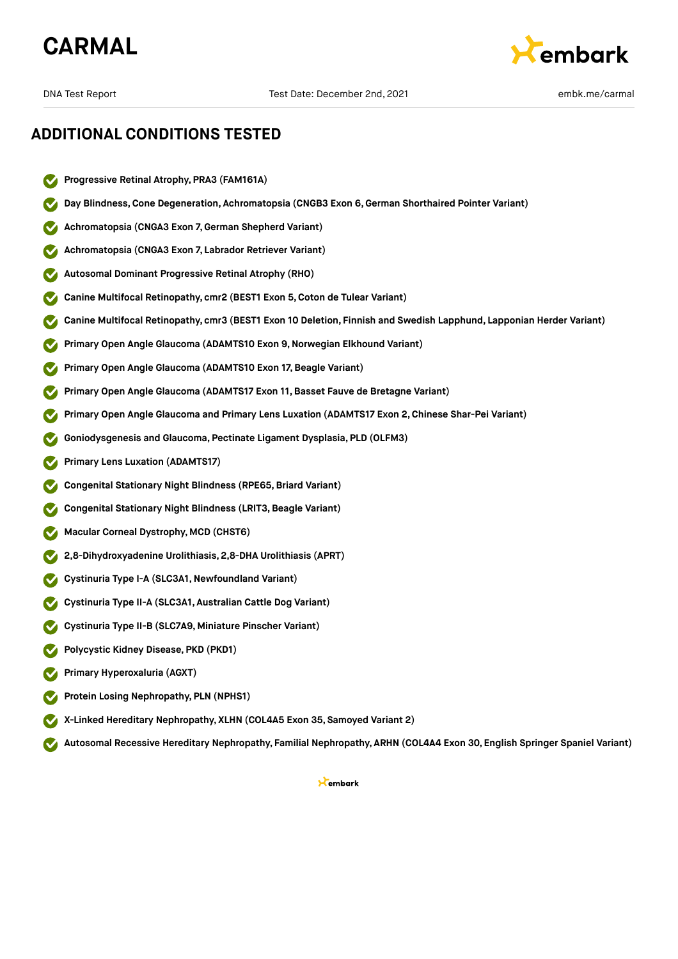



- **Progressive Retinal Atrophy, PRA3 (FAM161A)**
- **Day Blindness,Cone Degeneration, Achromatopsia (CNGB3 Exon 6,German Shorthaired Pointer Variant)**
- **Achromatopsia (CNGA3 Exon 7,German Shepherd Variant)**
- **Achromatopsia (CNGA3 Exon 7, Labrador Retriever Variant)**
- **Autosomal Dominant Progressive Retinal Atrophy (RHO)**
- **Canine Multifocal Retinopathy, cmr2 (BEST1 Exon 5,Coton de Tulear Variant)**
- **Canine Multifocal Retinopathy, cmr3 (BEST1 Exon 10 Deletion, Finnish and Swedish Lapphund, Lapponian Herder Variant)**
- **Primary Open Angle Glaucoma (ADAMTS10 Exon 9,Norwegian Elkhound Variant)**
- **Primary Open Angle Glaucoma (ADAMTS10 Exon 17, Beagle Variant)**
- **Primary Open Angle Glaucoma (ADAMTS17 Exon 11,Basset Fauve de Bretagne Variant)**
- **Primary Open Angle Glaucoma and Primary Lens Luxation (ADAMTS17 Exon 2,Chinese Shar-Pei Variant)**
- **Goniodysgenesis and Glaucoma, Pectinate Ligament Dysplasia, PLD (OLFM3)**
- **Primary Lens Luxation (ADAMTS17)**
- **Congenital Stationary Night Blindness (RPE65,Briard Variant)**
- **Congenital Stationary Night Blindness (LRIT3,Beagle Variant)**
- **Macular Corneal Dystrophy, MCD (CHST6)**
- **2,8-Dihydroxyadenine Urolithiasis, 2,8-DHA Urolithiasis (APRT)**
- **Cystinuria Type I-A (SLC3A1,Newfoundland Variant)**
- **Cystinuria Type II-A (SLC3A1, Australian Cattle Dog Variant)**
- **Cystinuria Type II-B (SLC7A9, Miniature Pinscher Variant)**
- **Polycystic Kidney Disease, PKD (PKD1)**
- **Primary Hyperoxaluria (AGXT)**
- **Protein Losing Nephropathy, PLN (NPHS1)**
- **X-Linked Hereditary Nephropathy, XLHN (COL4A5 Exon 35, Samoyed Variant 2)**
- **Autosomal Recessive Hereditary Nephropathy, Familial Nephropathy, ARHN (COL4A4 Exon 30, English Springer Spaniel Variant)**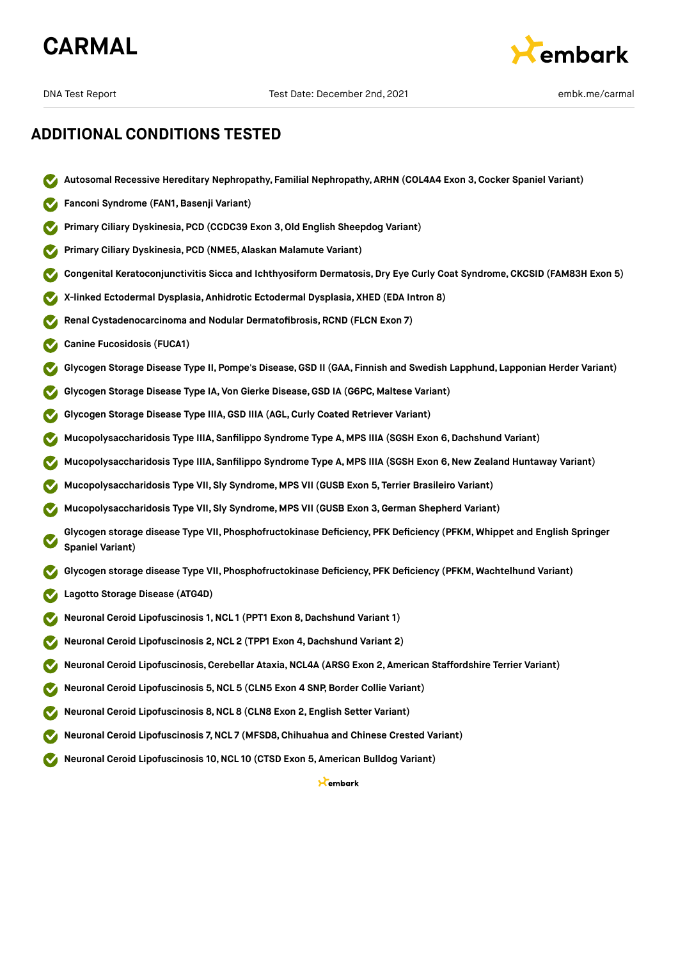



- **Autosomal Recessive Hereditary Nephropathy, Familial Nephropathy, ARHN (COL4A4 Exon 3,Cocker Spaniel Variant)**
- **Fanconi Syndrome (FAN1,Basenji Variant)**
- **Primary Ciliary Dyskinesia, PCD (CCDC39 Exon 3,Old English Sheepdog Variant)**
- **Primary Ciliary Dyskinesia, PCD (NME5, Alaskan Malamute Variant)**
- **Congenital Keratoconjunctivitis Sicca and Ichthyosiform Dermatosis, Dry Eye Curly Coat Syndrome, CKCSID (FAM83H Exon 5)**
- **X-linked Ectodermal Dysplasia, Anhidrotic Ectodermal Dysplasia, XHED (EDA Intron 8)**
- **Renal Cystadenocarcinoma and Nodular Dermatofibrosis, RCND (FLCN Exon 7)**
- **Canine Fucosidosis (FUCA1)**
- **Glycogen Storage Disease Type II, Pompe's Disease,GSD II (GAA, Finnish and Swedish Lapphund, Lapponian Herder Variant)**
- **Glycogen Storage Disease Type IA, Von Gierke Disease,GSD IA (G6PC, Maltese Variant)**
- **Glycogen Storage Disease Type IIIA,GSD IIIA (AGL,Curly Coated Retriever Variant)**
- **Mucopolysaccharidosis Type IIIA, Sanfilippo Syndrome Type A, MPS IIIA (SGSH Exon 6,Dachshund Variant)**
- **Mucopolysaccharidosis Type IIIA, Sanfilippo Syndrome Type A, MPS IIIA (SGSH Exon 6,New Zealand Huntaway Variant)**
- **Mucopolysaccharidosis Type VII, Sly Syndrome, MPS VII (GUSB Exon 5, Terrier Brasileiro Variant)**
- **Mucopolysaccharidosis Type VII, Sly Syndrome, MPS VII (GUSB Exon 3,German Shepherd Variant)**
- **Glycogen storage disease Type VII, Phosphofructokinase Deficiency, PFK Deficiency (PFKM, Whippet and English Springer Spaniel Variant)**
- **Glycogen storage disease Type VII, Phosphofructokinase Deficiency, PFK Deficiency (PFKM, Wachtelhund Variant)**
- **Lagotto Storage Disease (ATG4D)**
- **Neuronal Ceroid Lipofuscinosis 1,NCL 1 (PPT1 Exon 8,Dachshund Variant 1)**
- **Neuronal Ceroid Lipofuscinosis 2,NCL 2 (TPP1 Exon 4,Dachshund Variant 2)**
- **Neuronal Ceroid Lipofuscinosis,Cerebellar Ataxia,NCL4A (ARSG Exon 2, American Staffordshire Terrier Variant)**
- **Neuronal Ceroid Lipofuscinosis 5,NCL 5 (CLN5 Exon 4 SNP, Border Collie Variant)**
- **Neuronal Ceroid Lipofuscinosis 8,NCL 8 (CLN8 Exon 2, English Setter Variant)**
- **Neuronal Ceroid Lipofuscinosis 7,NCL 7 (MFSD8,Chihuahua and Chinese Crested Variant)**
- **Neuronal Ceroid Lipofuscinosis 10,NCL 10 (CTSD Exon 5, American Bulldog Variant)**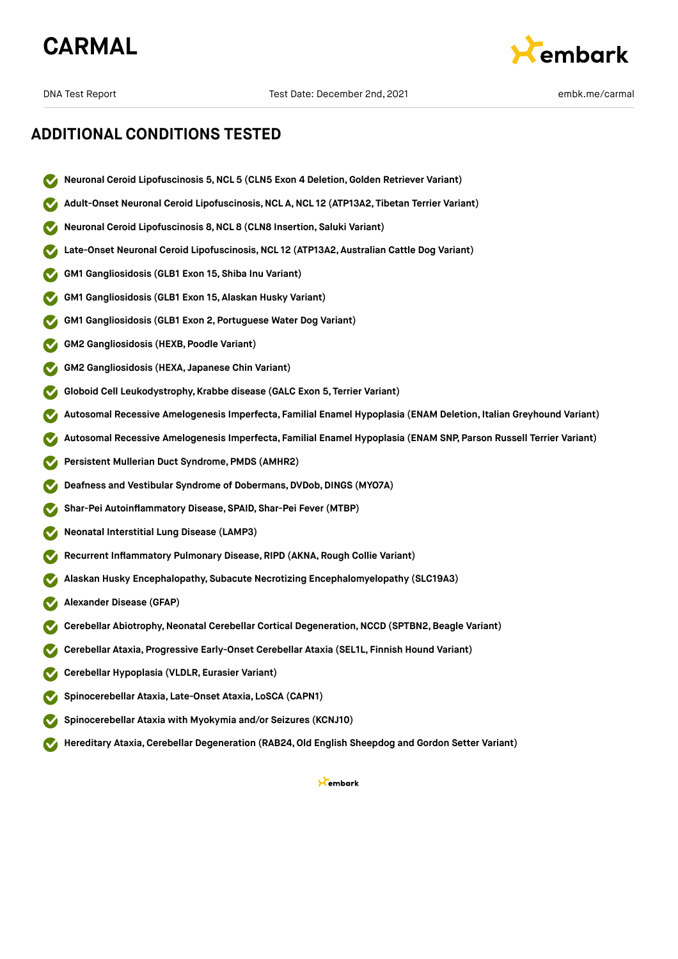



- **Neuronal Ceroid Lipofuscinosis 5,NCL 5 (CLN5 Exon 4 Deletion,Golden Retriever Variant)**
- **Adult-Onset Neuronal Ceroid Lipofuscinosis,NCL A,NCL 12 (ATP13A2, Tibetan Terrier Variant)**
- **Neuronal Ceroid Lipofuscinosis 8,NCL 8 (CLN8 Insertion, Saluki Variant)**
- **Late-Onset Neuronal Ceroid Lipofuscinosis,NCL 12 (ATP13A2, Australian Cattle Dog Variant)**
- **GM1 Gangliosidosis (GLB1 Exon 15, Shiba Inu Variant)**
- **GM1 Gangliosidosis (GLB1 Exon 15, Alaskan Husky Variant)**
- **GM1 Gangliosidosis (GLB1 Exon 2, Portuguese Water Dog Variant)**
- **GM2 Gangliosidosis (HEXB, Poodle Variant)**
- **GM2 Gangliosidosis (HEXA, Japanese Chin Variant)**
- **Globoid Cell Leukodystrophy, Krabbe disease (GALC Exon 5, Terrier Variant)**
- **Autosomal Recessive Amelogenesis Imperfecta, Familial Enamel Hypoplasia (ENAM Deletion, Italian Greyhound Variant)**
- **Autosomal Recessive Amelogenesis Imperfecta, Familial Enamel Hypoplasia (ENAM SNP, Parson Russell Terrier Variant)**
- **Persistent Mullerian Duct Syndrome, PMDS (AMHR2)**
- **Deafness and Vestibular Syndrome of Dobermans, DVDob,DINGS (MYO7A)**
- **Shar-Pei Autoinflammatory Disease, SPAID, Shar-Pei Fever (MTBP)**
- **Neonatal Interstitial Lung Disease (LAMP3)**
- **Recurrent Inflammatory Pulmonary Disease, RIPD (AKNA, Rough Collie Variant)**
- **Alaskan Husky Encephalopathy, Subacute Necrotizing Encephalomyelopathy (SLC19A3)**
- **Alexander Disease (GFAP)**
- **Cerebellar Abiotrophy,Neonatal Cerebellar Cortical Degeneration,NCCD (SPTBN2,Beagle Variant)**
- **Cerebellar Ataxia, Progressive Early-Onset Cerebellar Ataxia (SEL1L, Finnish Hound Variant)**
- **Cerebellar Hypoplasia (VLDLR, Eurasier Variant)**
- **Spinocerebellar Ataxia, Late-Onset Ataxia, LoSCA (CAPN1)**
- **Spinocerebellar Ataxia with Myokymia and/or Seizures (KCNJ10)**
- **Hereditary Ataxia,Cerebellar Degeneration (RAB24,Old English Sheepdog and Gordon Setter Variant)**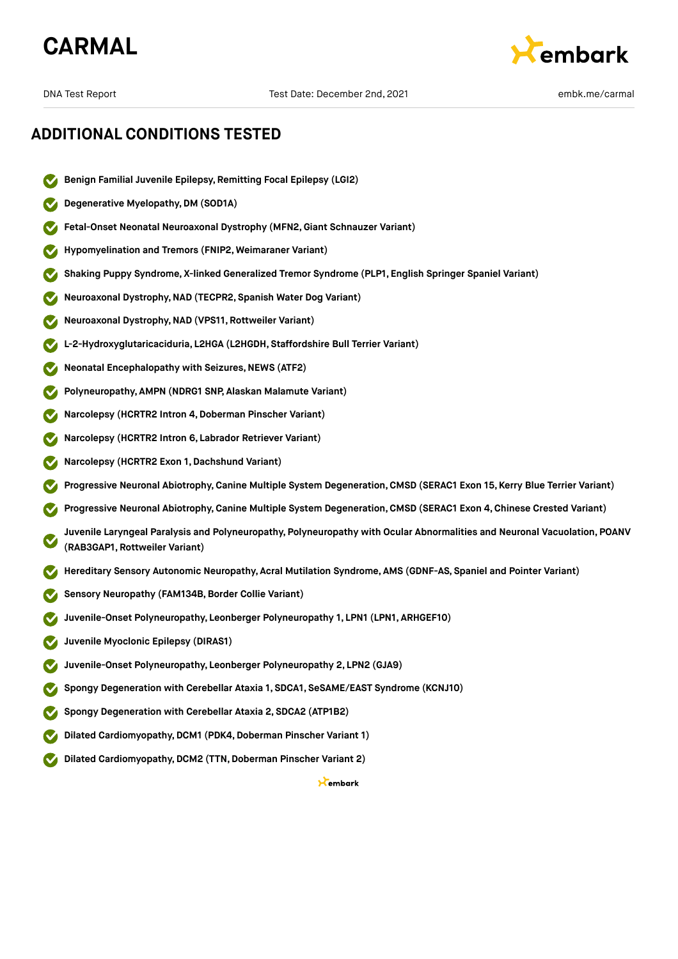



- **Benign Familial Juvenile Epilepsy, Remitting Focal Epilepsy (LGI2)**
- **Degenerative Myelopathy,DM (SOD1A)**
- **Fetal-Onset Neonatal Neuroaxonal Dystrophy (MFN2,Giant Schnauzer Variant)**
- **Hypomyelination and Tremors (FNIP2, Weimaraner Variant)**
- **Shaking Puppy Syndrome, X-linked Generalized Tremor Syndrome (PLP1, English Springer Spaniel Variant)**
- **Neuroaxonal Dystrophy,NAD (TECPR2, Spanish Water Dog Variant)**
- **Neuroaxonal Dystrophy,NAD (VPS11, Rottweiler Variant)**
- **L-2-Hydroxyglutaricaciduria, L2HGA (L2HGDH, Staffordshire Bull Terrier Variant)**
- **Neonatal Encephalopathy with Seizures, NEWS (ATF2)**
- **Polyneuropathy, AMPN (NDRG1 SNP, Alaskan Malamute Variant)**
- **Narcolepsy (HCRTR2 Intron 4,Doberman Pinscher Variant)**
- **Narcolepsy (HCRTR2 Intron 6, Labrador Retriever Variant)**
- **Narcolepsy (HCRTR2 Exon 1,Dachshund Variant)**
- **Progressive Neuronal Abiotrophy,Canine Multiple System Degeneration,CMSD (SERAC1 Exon 15, Kerry Blue Terrier Variant)**
- **Progressive Neuronal Abiotrophy,Canine Multiple System Degeneration,CMSD (SERAC1 Exon 4, Chinese Crested Variant)**
- **Juvenile Laryngeal Paralysis and Polyneuropathy, Polyneuropathy with Ocular Abnormalities and Neuronal Vacuolation, POANV (RAB3GAP1, Rottweiler Variant)**
- **Hereditary Sensory Autonomic Neuropathy, Acral Mutilation Syndrome, AMS (GDNF-AS, Spaniel and Pointer Variant)**
- **Sensory Neuropathy (FAM134B,Border Collie Variant)**
- **Juvenile-Onset Polyneuropathy, Leonberger Polyneuropathy 1, LPN1 (LPN1, ARHGEF10)**
- **Juvenile Myoclonic Epilepsy (DIRAS1)**
- **Juvenile-Onset Polyneuropathy, Leonberger Polyneuropathy 2, LPN2 (GJA9)**
- **Spongy Degeneration with Cerebellar Ataxia 1, SDCA1, SeSAME/EAST Syndrome (KCNJ10)**
- **Spongy Degeneration with Cerebellar Ataxia 2, SDCA2 (ATP1B2)**
- **Dilated Cardiomyopathy,DCM1 (PDK4,Doberman Pinscher Variant 1)**
- **Dilated Cardiomyopathy, DCM2 (TTN, Doberman Pinscher Variant 2)**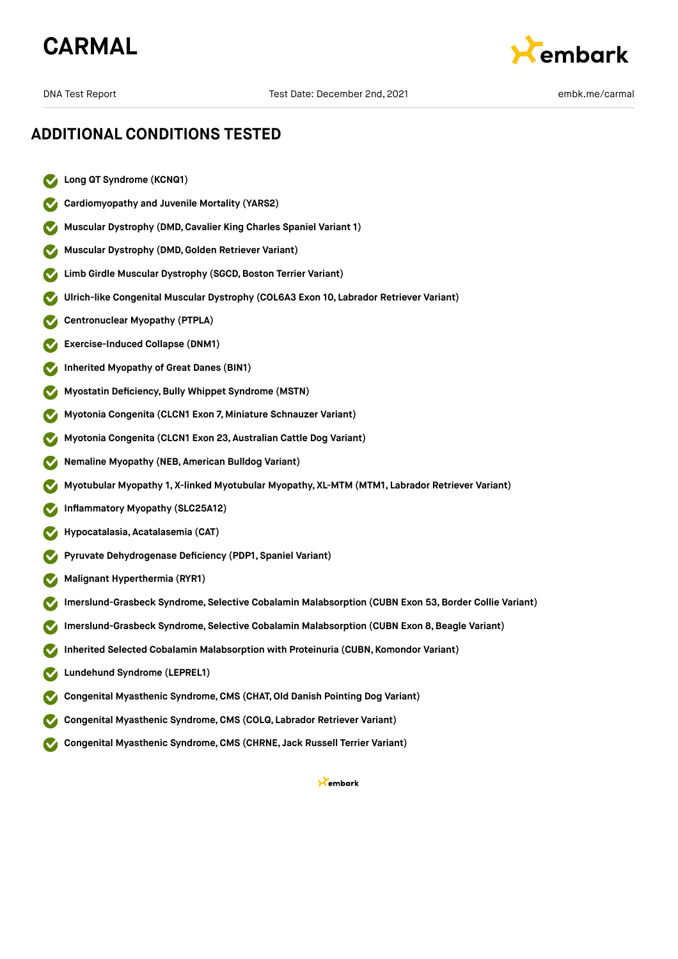## **CARMAL**



## **ADDITIONAL CONDITIONS TESTED**

- **Long QT Syndrome (KCNQ1)**
- **Cardiomyopathy and Juvenile Mortality (YARS2)**
- **Muscular Dystrophy (DMD,Cavalier King Charles Spaniel Variant 1)**
- **Muscular Dystrophy (DMD,Golden Retriever Variant)**
- **Limb Girdle Muscular Dystrophy (SGCD, Boston Terrier Variant)**
- **Ulrich-like Congenital Muscular Dystrophy (COL6A3 Exon 10, Labrador Retriever Variant)**
- **Centronuclear Myopathy (PTPLA)**
- **Exercise-Induced Collapse (DNM1)**
- **Inherited Myopathy of Great Danes (BIN1)**
- **Myostatin Deficiency,Bully Whippet Syndrome (MSTN)**
- **Myotonia Congenita (CLCN1 Exon 7, Miniature Schnauzer Variant)**
- **Myotonia Congenita (CLCN1 Exon 23, Australian Cattle Dog Variant)**
- **Nemaline Myopathy (NEB, American Bulldog Variant)**
- **Myotubular Myopathy 1, X-linked Myotubular Myopathy, XL-MTM (MTM1, Labrador Retriever Variant)**
- **Inflammatory Myopathy (SLC25A12)**
- **Hypocatalasia, Acatalasemia (CAT)**
- **Pyruvate Dehydrogenase Deficiency (PDP1, Spaniel Variant)**
- **Malignant Hyperthermia (RYR1)**
- **Imerslund-Grasbeck Syndrome, Selective Cobalamin Malabsorption (CUBN Exon 53,Border Collie Variant)**
- **Imerslund-Grasbeck Syndrome, Selective Cobalamin Malabsorption (CUBN Exon 8,Beagle Variant)**
- **Inherited Selected Cobalamin Malabsorption with Proteinuria (CUBN, Komondor Variant)**
- **Lundehund Syndrome (LEPREL1)**
- **Congenital Myasthenic Syndrome,CMS (CHAT,Old Danish Pointing Dog Variant)**
- **Congenital Myasthenic Syndrome,CMS (COLQ, Labrador Retriever Variant)**
- **Congenital Myasthenic Syndrome,CMS (CHRNE, Jack Russell Terrier Variant)**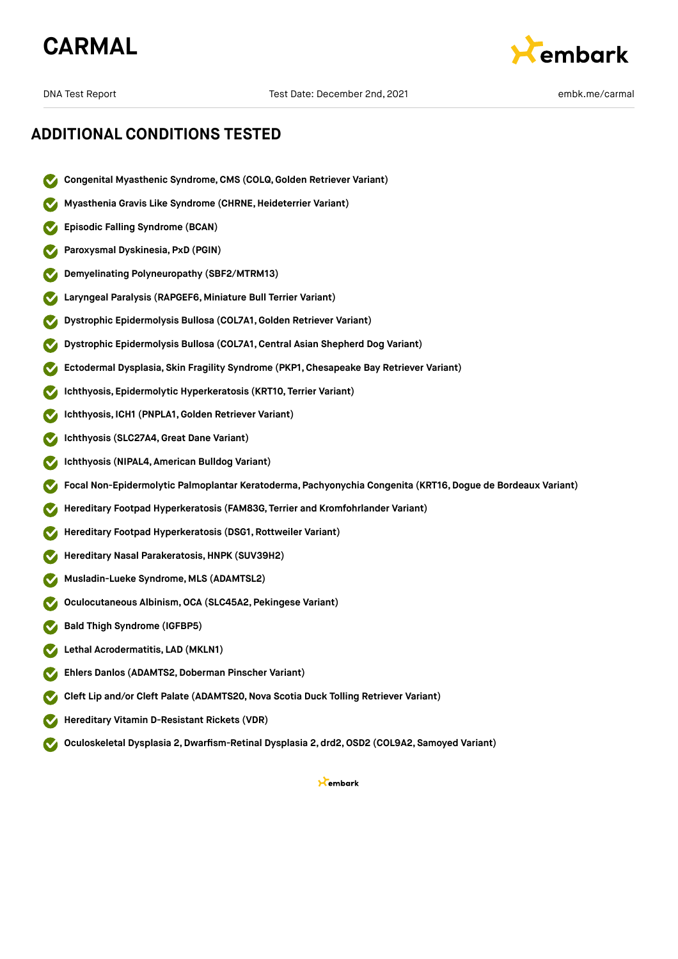



- **Congenital Myasthenic Syndrome,CMS (COLQ, Golden Retriever Variant)**
- **Myasthenia Gravis Like Syndrome (CHRNE,Heideterrier Variant)**
- **Episodic Falling Syndrome (BCAN)**
- **Paroxysmal Dyskinesia, PxD (PGIN)**
- **Demyelinating Polyneuropathy (SBF2/MTRM13)**
- **Laryngeal Paralysis (RAPGEF6, Miniature Bull Terrier Variant)**
- **Dystrophic Epidermolysis Bullosa (COL7A1,Golden Retriever Variant)**
- **Dystrophic Epidermolysis Bullosa (COL7A1,Central Asian Shepherd Dog Variant)**
- **Ectodermal Dysplasia, Skin Fragility Syndrome (PKP1, Chesapeake Bay Retriever Variant)**
- **Ichthyosis, Epidermolytic Hyperkeratosis (KRT10, Terrier Variant)**
- **Ichthyosis, ICH1 (PNPLA1,Golden Retriever Variant)**
- **Ichthyosis (SLC27A4,Great Dane Variant)**
- **Ichthyosis (NIPAL4, American Bulldog Variant)**
- **Focal Non-Epidermolytic Palmoplantar Keratoderma, Pachyonychia Congenita (KRT16,Dogue de Bordeaux Variant)**
- **Hereditary Footpad Hyperkeratosis (FAM83G, Terrier and Kromfohrlander Variant)**
- **Hereditary Footpad Hyperkeratosis (DSG1, Rottweiler Variant)**
- **Hereditary Nasal Parakeratosis,HNPK (SUV39H2)**
- **Musladin-Lueke Syndrome, MLS (ADAMTSL2)**
- **Oculocutaneous Albinism,OCA (SLC45A2, Pekingese Variant)**
- **Bald Thigh Syndrome (IGFBP5)**
- **Lethal Acrodermatitis, LAD (MKLN1)**
- **Ehlers Danlos (ADAMTS2,Doberman Pinscher Variant)**
- **Cleft Lip and/or Cleft Palate (ADAMTS20,Nova Scotia Duck Tolling Retriever Variant)**
- **Hereditary Vitamin D-Resistant Rickets (VDR)**
- **Oculoskeletal Dysplasia 2,Dwarfism-Retinal Dysplasia 2, drd2,OSD2 (COL9A2, Samoyed Variant)**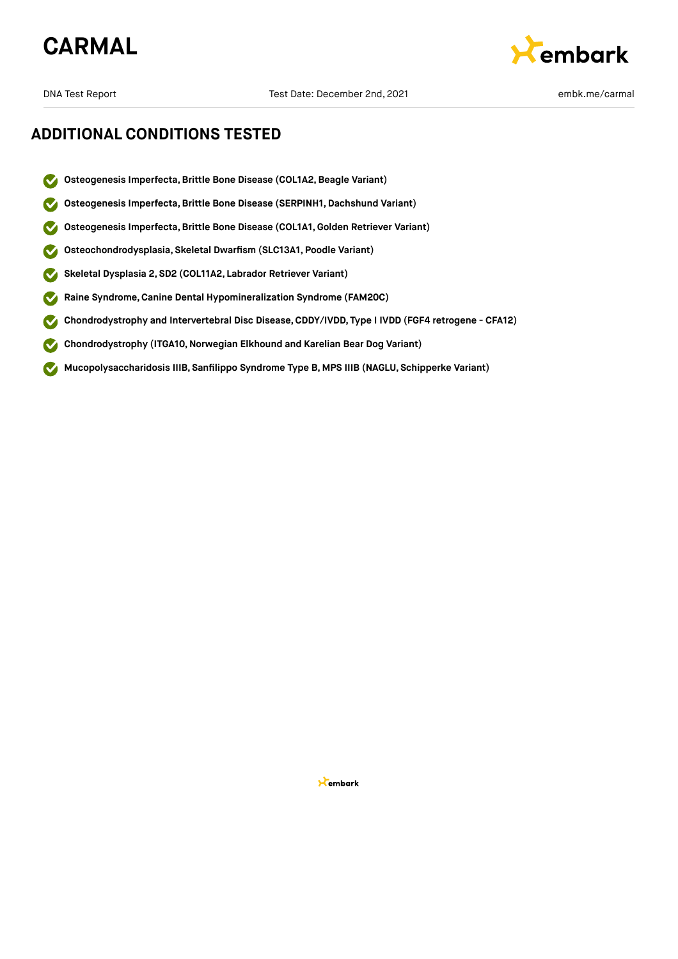



- **Osteogenesis Imperfecta,Brittle Bone Disease (COL1A2,Beagle Variant)**
- **Osteogenesis Imperfecta,Brittle Bone Disease (SERPINH1, Dachshund Variant)**
- **Osteogenesis Imperfecta,Brittle Bone Disease (COL1A1,Golden Retriever Variant)**
- **Osteochondrodysplasia, Skeletal Dwarfism (SLC13A1, Poodle Variant)**  $\bullet$
- **Skeletal Dysplasia 2, SD2 (COL11A2, Labrador Retriever Variant)**  $\boldsymbol{\mathcal{S}}$
- **Raine Syndrome,Canine Dental Hypomineralization Syndrome (FAM20C)**
- **Chondrodystrophy and Intervertebral Disc Disease,CDDY/IVDD, Type I IVDD (FGF4 retrogene CFA12)**
- **Chondrodystrophy (ITGA10,Norwegian Elkhound and Karelian Bear Dog Variant)**  $\checkmark$
- **Mucopolysaccharidosis IIIB, Sanfilippo Syndrome Type B, MPS IIIB (NAGLU, Schipperke Variant)**  $\sim$

**X**embark